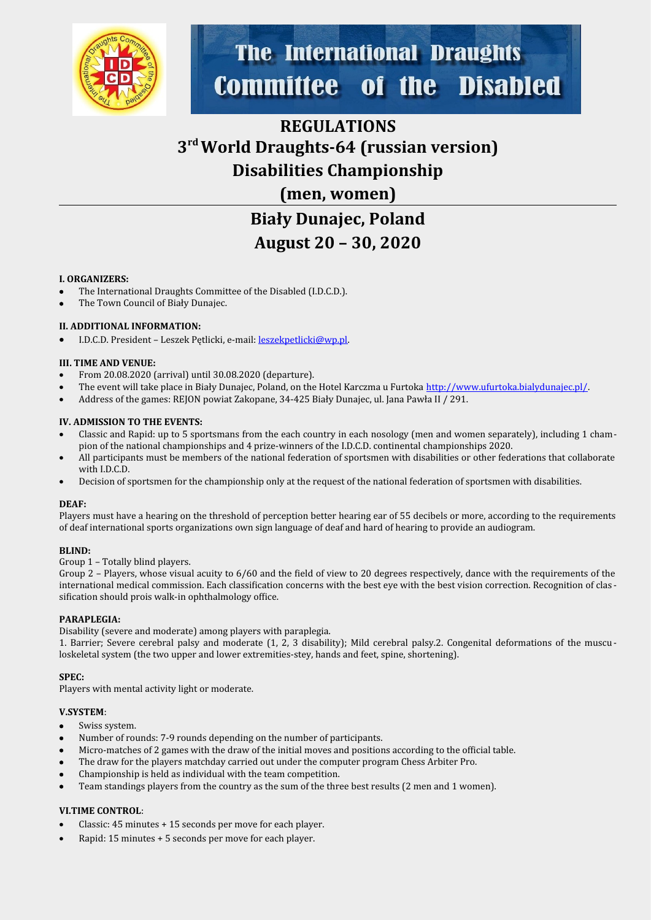

## **The International Draughts Disabled Committee of the**

## **REGULATIONS 3 rd World Draughts-64 (russian version) Disabilities Championship (men, women)**

# **Biały Dunajec, Poland August 20 – 30, 2020**

#### **I. ORGANIZERS:**

- The International Draughts Committee of the Disabled (I.D.C.D.).
- The Town Council of Biały Dunajec.

#### **II. ADDITIONAL INFORMATION:**

I.D.C.D. President – Leszek Pętlicki, e-mail: [leszekpetlicki@wp.pl](mailto:leszekpetlicki@wp.pl).

#### **III. TIME AND VENUE:**

- From 20.08.2020 (arrival) until 30.08.2020 (departure).
- The event will take place in Biały Dunajec, Poland, on the Hotel Karczma u Furtoka [http://www.ufurtoka.bialydunajec.pl/.](http://www.ufurtoka.bialydunajec.pl/)
- Address of the games: REJON powiat Zakopane, 34-425 Biały Dunajec, ul. Jana Pawła II / 291.

#### **IV. ADMISSION TO THE EVENTS:**

- Classic and Rapid: up to 5 sportsmans from the each country in each nosology (men and women separately), including 1 champion of the national championships and 4 prize-winners of the I.D.C.D. continental championships 2020.
- All participants must be members of the national federation of sportsmen with disabilities or other federations that collaborate with I.D.C.D.
- Decision of sportsmen for the championship only at the request of the national federation of sportsmen with disabilities.

#### **DEAF:**

Players must have a hearing on the threshold of perception better hearing ear of 55 decibels or more, according to the requirements of deaf international sports organizations own sign language of deaf and hard of hearing to provide an audiogram.

#### **BLIND:**

Group 1 – Totally blind players.

Group 2 – Players, whose visual acuity to 6/60 and the field of view to 20 degrees respectively, dance with the requirements of the international medical commission. Each classification concerns with the best eye with the best vision correction. Recognition of clas sification should prois walk-in ophthalmology office.

#### **PARAPLEGIA:**

Disability (severe and moderate) among players with paraplegia.

1. Barrier; Severe cerebral palsy and moderate (1, 2, 3 disability); Mild cerebral palsy.2. Congenital deformations of the muscu loskeletal system (the two upper and lower extremities-stey, hands and feet, spine, shortening).

#### **SPEC:**

Players with mental activity light or moderate.

#### **V.SYSTEM**:

- Swiss system.
- Number of rounds: 7-9 rounds depending on the number of participants.
- Micro-matches of 2 games with the draw of the initial moves and positions according to the official table.
- The draw for the players matchday carried out under the computer program Chess Arbiter Pro.
- Championship is held as individual with the team competition.
- Team standings players from the country as the sum of the three best results (2 men and 1 women).

#### **VI.TIME CONTROL**:

- Classic: 45 minutes + 15 seconds per move for each player.
- Rapid: 15 minutes + 5 seconds per move for each player.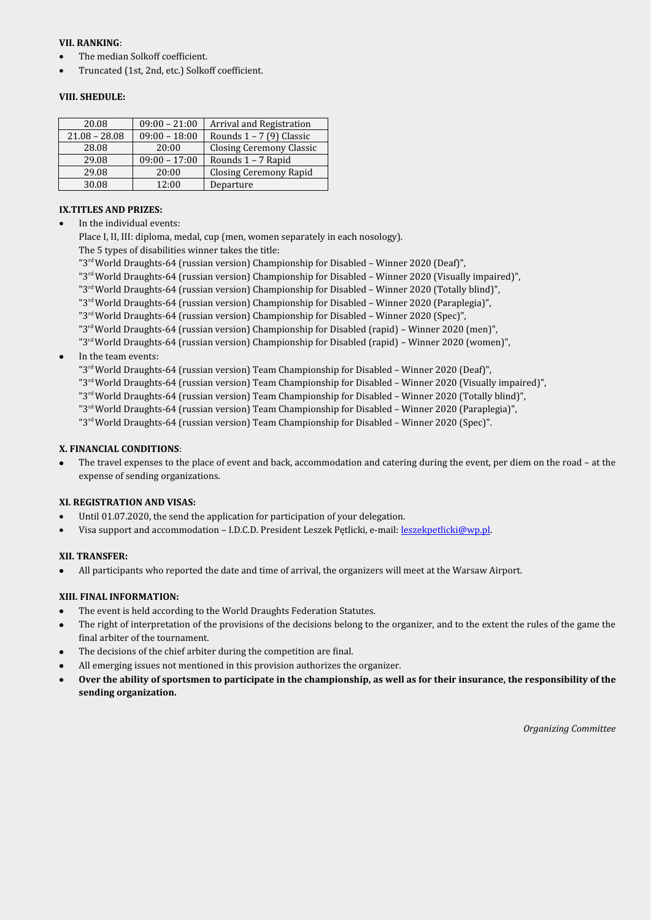#### **VII. RANKING**:

- The median Solkoff coefficient.
- Truncated (1st, 2nd, etc.) Solkoff coefficient.

#### **VIII. SHEDULE:**

| 20.08           | $09:00 - 21:00$ | Arrival and Registration        |
|-----------------|-----------------|---------------------------------|
| $21.08 - 28.08$ | $09:00 - 18:00$ | Rounds $1 - 7$ (9) Classic      |
| 28.08           | 20:00           | <b>Closing Ceremony Classic</b> |
| 29.08           | $09:00 - 17:00$ | Rounds 1 - 7 Rapid              |
| 29.08           | 20:00           | <b>Closing Ceremony Rapid</b>   |
| 30.08           | 12:00           | Departure                       |

#### **IX.TITLES AND PRIZES:**

In the individual events:

Place I, II, III: diploma, medal, cup (men, women separately in each nosology).

- The 5 types of disabilities winner takes the title:
- "3rd World Draughts-64 (russian version) Championship for Disabled Winner 2020 (Deaf)",
- "3<sup>rd</sup> World Draughts-64 (russian version) Championship for Disabled Winner 2020 (Visually impaired)",
- "3rd World Draughts-64 (russian version) Championship for Disabled Winner 2020 (Totally blind)",
- "3rd World Draughts-64 (russian version) Championship for Disabled Winner 2020 (Paraplegia)",
- "3rd World Draughts-64 (russian version) Championship for Disabled Winner 2020 (Spec)",
- "3rd World Draughts-64 (russian version) Championship for Disabled (rapid) Winner 2020 (men)",
- "3rd World Draughts-64 (russian version) Championship for Disabled (rapid) Winner 2020 (women)",
- In the team events:

"3rd World Draughts-64 (russian version) Team Championship for Disabled – Winner 2020 (Deaf)",

- "3rd World Draughts-64 (russian version) Team Championship for Disabled Winner 2020 (Visually impaired)",
- "3rd World Draughts-64 (russian version) Team Championship for Disabled Winner 2020 (Totally blind)",
- "3rd World Draughts-64 (russian version) Team Championship for Disabled Winner 2020 (Paraplegia)",
- "3rd World Draughts-64 (russian version) Team Championship for Disabled Winner 2020 (Spec)".

#### **X. FINANCIAL CONDITIONS**:

 The travel expenses to the place of event and back, accommodation and catering during the event, per diem on the road – at the expense of sending organizations.

#### **XI. REGISTRATION AND VISAS:**

- Until 01.07.2020, the send the application for participation of your delegation.
- Visa support and accommodation I.D.C.D. President Leszek Pętlicki, e-mail: [leszekpetlicki@wp.pl](mailto:leszekpetlicki@wp.pl).

#### **XII. TRANSFER:**

All participants who reported the date and time of arrival, the organizers will meet at the Warsaw Airport.

#### **XIII. FINAL INFORMATION:**

- The event is held according to the World Draughts Federation Statutes.
- The right of interpretation of the provisions of the decisions belong to the organizer, and to the extent the rules of the game the final arbiter of the tournament.
- The decisions of the chief arbiter during the competition are final.
- All emerging issues not mentioned in this provision authorizes the organizer.
- **Over the ability of sportsmen to participate in the championship, as well as for their insurance, the responsibility of the sending organization.**

*Organizing Committee*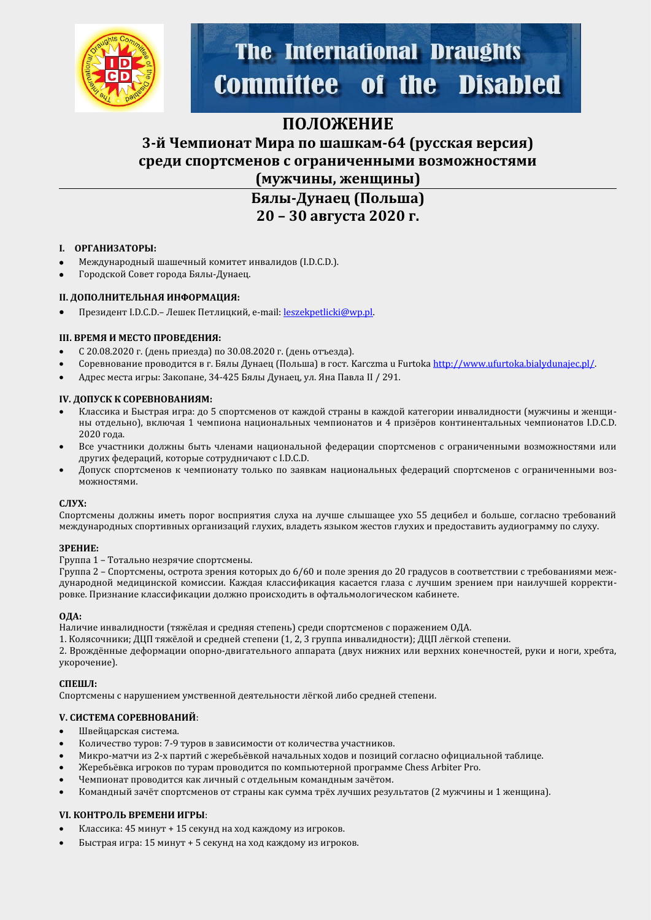

# **The International Draughts Committee of the Disabled**

### **ПОЛОЖЕНИЕ**

### **3-й Чемпионат Мира по шашкам-64 (русская версия) среди спортсменов с ограниченными возможностями (мужчины, женщины)**

### **Бялы-Дунаец (Польша) 20 – 30 августа 2020 г.**

#### **I. ОРГАНИЗАТОРЫ:**

- Международный шашечный комитет инвалидов (I.D.C.D.).
- Городской Совет города Бялы-Дунаец.

#### **II. ДОПОЛНИТЕЛЬНАЯ ИНФОРМАЦИЯ:**

Президент I.D.C.D.– Лешек Петлицкий, e-mail: [leszekpetlicki@wp.pl](mailto:leszekpetlicki@wp.pl).

#### **III. ВРЕМЯ И МЕСТО ПРОВЕДЕНИЯ:**

- С 20.08.2020 г. (день прйезда) по 30.08.2020 г. (день отъезда).
- Соревнование проводится в г. Бялы Дунаец (Польша) в гост. Karczma u Furtoka<http://www.ufurtoka.bialydunajec.pl/>.
- Адрес места йгры: Закопане, 34-425 Бялы Дунаец, ул. Яна Павла II / 291.

#### **IV. ДОПУСК К СОРЕВНОВАНИЯМ:**

- Классика и Быстрая игра: до 5 спортсменов от каждой страны в каждой категории инвалидности (мужчины и женщины отдельно), включая 1 чемпиона национальных чемпионатов и 4 призёров континентальных чемпионатов I.D.C.D. 2020 года.
- Все участники должны быть членами национальной федерации спортсменов с ограниченными возможностями или других федераций, которые сотрудничают с I.D.C.D.
- Допуск спортсменов к чемпионату только по заявкам национальных федераций спортсменов с ограниченными возможностямй.

#### **СЛУХ:**

Спортсмены должны иметь порог восприятия слуха на лучше слышащее ухо 55 децибел и больше, согласно требований международных спортивных организаций глухих, владеть языком жестов глухих и предоставить аудиограмму по слуху.

#### **ЗРЕНИЕ:**

Группа 1 – Тотально незрячйе спортсмены.

Группа 2 - Спортсмены, острота зрения которых до 6/60 и поле зрения до 20 градусов в соответствии с требованиями международной медицинской комиссии. Каждая классификация касается глаза с лучшим зрением при наилучшей корректировке. Признание классификации должно происходить в офтальмологическом кабинете.

#### **ОДА:**

Наличие инвалидности (тяжёлая и средняя степень) среди спортсменов с поражением ОДА.

1. Колясочники; ДЦП тяжёлой и средней степени (1, 2, 3 группа инвалидности); ДЦП лёгкой степени.

2. Врождённые деформации опорно-двигательного аппарата (двух нижних или верхних конечностей, руки и ноги, хребта, укорочение).

#### **СПЕШЛ:**

Спортсмены с нарушением умственной деятельности лёгкой либо средней степени.

#### **V. СИСТЕМА СОРЕВНОВАНИЙ**:

- Швейцарская система.
- Количество туров: 7-9 туров в зависимости от количества участников.
- Микро-матчи из 2-х партий с жеребьёвкой начальных ходов и позиций согласно официальной таблице.
- Жеребьёвка игроков по турам проводится по компьютерной программе Chess Arbiter Pro.
- Чемпионат проводится как личный с отдельным командным зачётом.
- Командный зачёт спортсменов от страны как сумма трёх лучших результатов (2 мужчины и 1 женщина).

#### **VI. КОНТРОЛЬ ВРЕМЕНИ ИГРЫ**:

- Классика: 45 минут + 15 секунд на ход каждому из игроков.
- Быстрая игра: 15 минут + 5 секунд на ход каждому из игроков.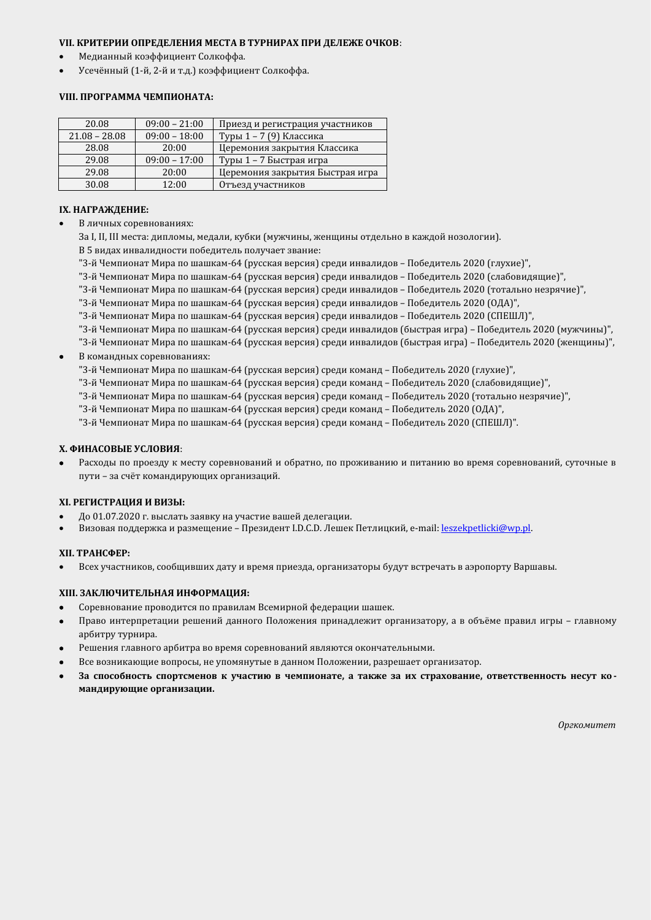#### **VII. КРИТЕРИИ ОПРЕДЕЛЕНИЯ МЕСТА В ТУРНИРАХ ПРИ ДЕЛЕЖЕ ОЧКОВ**:

- Медианный коэффициент Солкоффа.
- Усечённый (1-й, 2-й и т.д.) коэффициент Солкоффа.

#### **VIII. ПРОГРАММА ЧЕМПИОНАТА:**

| 20.08           | $09:00 - 21:00$ | Приезд и регистрация участников |
|-----------------|-----------------|---------------------------------|
| $21.08 - 28.08$ | $09:00 - 18:00$ | Туры 1 - 7 (9) Классика         |
| 28.08           | 20:00           | Церемония закрытия Классика     |
| 29.08           | $09:00 - 17:00$ | Туры 1 – 7 Быстрая игра         |
| 29.08           | 20:00           | Церемония закрытия Быстрая игра |
| 30.08           | 12:00           | Отъезд участников               |

#### **IX. НАГРАЖДЕНИЕ:**

- В личных соревнованиях:
	- За I, II, III места: дипломы, медали, кубки (мужчины, женщины отдельно в каждой нозологии).
	- В 5 видах инвалидности победитель получает звание:
	- "3-й Чемпионат Мира по шашкам-64 (русская версия) среди инвалидов Победитель 2020 (глухие)",
	- "3-й Чемпионат Мира по шашкам-64 (русская версия) среди инвалидов Победитель 2020 (слабовидящие)",
	- "3-й Чемпионат Мира по шашкам-64 (русская версия) среди инвалидов Победитель 2020 (тотально незрячие)",
	- "3-й Чемпионат Мира по шашкам-64 (русская версия) среди инвалидов Победитель 2020 (ОДА)",
	- "3-й Чемпионат Мира по шашкам-64 (русская версия) среди инвалидов Победитель 2020 (СПЕШЛ)",
	- "3-й Чемпионат Мира по шашкам-64 (русская версия) среди инвалидов (быстрая игра) Победитель 2020 (мужчины)",
- "3-й Чемпионат Мира по шашкам-64 (русская версия) среди инвалидов (быстрая игра) Победитель 2020 (женщины)",
- В командных соревнованйях:
	- "3-й Чемпионат Мира по шашкам-64 (русская версия) среди команд Победитель 2020 (глухие)",
	- "3-й Чемпионат Мира по шашкам-64 (русская версия) среди команд Победитель 2020 (слабовидящие)",
	- "3-й Чемпионат Мира по шашкам-64 (русская версия) среди команд Победитель 2020 (тотально незрячие)",
	- "3-й Чемпионат Мира по шашкам-64 (русская версия) среди команд Победитель 2020 (ОДА)",
	- "3-й Чемпионат Мира по шашкам-64 (русская версия) среди команд Победитель 2020 (СПЕШЛ)".

#### **X. ФИНАСОВЫЕ УСЛОВИЯ**:

Расходы по проезду к месту соревнований и обратно, по проживанию и питанию во время соревнований, суточные в пути - за счёт командирующих организаций.

#### **XI. РЕГИСТРАЦИЯ И ВИЗЫ:**

- До 01.07.2020 г. выслать заявку на участие вашей делегации.
- Визовая поддержка и размещение Президент I.D.C.D. Лешек Петлицкий, e-mail: [leszekpetlicki@wp.pl](mailto:leszekpetlicki@wp.pl).

#### **XII. ТРАНСФЕР:**

Всех участников, сообщивших дату и время приезда, организаторы будут встречать в аэропорту Варшавы.

#### **XIII. ЗАКЛЮЧИТЕЛЬНАЯ ИНФОРМАЦИЯ:**

- Соревнование проводится по правилам Всемирной федерации шашек.
- Право интерпретации решений данного Положения принадлежит организатору, а в объёме правил игры главному арбитру турнира.
- Решения главного арбитра во время соревнований являются окончательными.
- Все возникающие вопросы, не упомянутые в данном Положении, разрешает организатор.
- **За способность спортсменов к участию в чемпионате, а также за их страхование, ответственность несут ко мандирующие организации.**

*Оргкомитет*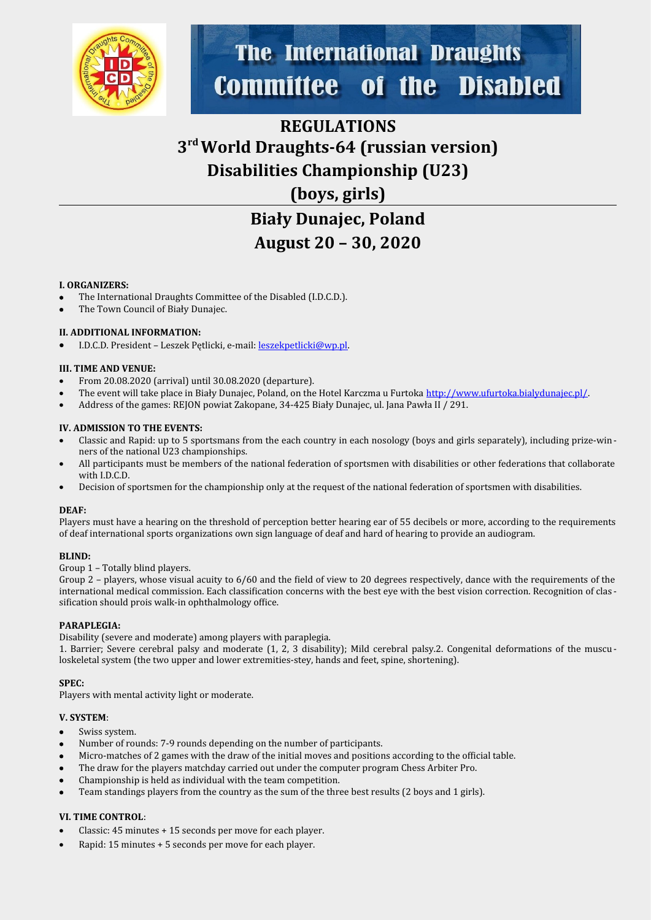

# **The International Draughts Committee of the Disabled**

## **REGULATIONS 3 rd World Draughts-64 (russian version) Disabilities Championship (U23) (boys, girls)**

# **Biały Dunajec, Poland August 20 – 30, 2020**

#### **I. ORGANIZERS:**

- The International Draughts Committee of the Disabled (I.D.C.D.).
- The Town Council of Biały Dunajec.

#### **II. ADDITIONAL INFORMATION:**

I.D.C.D. President – Leszek Pętlicki, e-mail: [leszekpetlicki@wp.pl](mailto:leszekpetlicki@wp.pl).

#### **III. TIME AND VENUE:**

- From 20.08.2020 (arrival) until 30.08.2020 (departure).
- The event will take place in Biały Dunajec, Poland, on the Hotel Karczma u Furtoka [http://www.ufurtoka.bialydunajec.pl/.](http://www.ufurtoka.bialydunajec.pl/)
- Address of the games: REJON powiat Zakopane, 34-425 Biały Dunajec, ul. Jana Pawła II / 291.

#### **IV. ADMISSION TO THE EVENTS:**

- Classic and Rapid: up to 5 sportsmans from the each country in each nosology (boys and girls separately), including prize-winners of the national U23 championships.
- All participants must be members of the national federation of sportsmen with disabilities or other federations that collaborate with I.D.C.D.
- Decision of sportsmen for the championship only at the request of the national federation of sportsmen with disabilities.

#### **DEAF:**

Players must have a hearing on the threshold of perception better hearing ear of 55 decibels or more, according to the requirements of deaf international sports organizations own sign language of deaf and hard of hearing to provide an audiogram.

#### **BLIND:**

Group 1 – Totally blind players.

Group 2 – players, whose visual acuity to 6/60 and the field of view to 20 degrees respectively, dance with the requirements of the international medical commission. Each classification concerns with the best eye with the best vision correction. Recognition of clas sification should prois walk-in ophthalmology office.

#### **PARAPLEGIA:**

Disability (severe and moderate) among players with paraplegia.

1. Barrier; Severe cerebral palsy and moderate (1, 2, 3 disability); Mild cerebral palsy.2. Congenital deformations of the muscu loskeletal system (the two upper and lower extremities-stey, hands and feet, spine, shortening).

#### **SPEC:**

Players with mental activity light or moderate.

#### **V. SYSTEM**:

- Swiss system.
- Number of rounds: 7-9 rounds depending on the number of participants.
- Micro-matches of 2 games with the draw of the initial moves and positions according to the official table.
- The draw for the players matchday carried out under the computer program Chess Arbiter Pro.
- Championship is held as individual with the team competition.
- Team standings players from the country as the sum of the three best results (2 boys and 1 girls).

#### **VI. TIME CONTROL**:

- Classic: 45 minutes + 15 seconds per move for each player.
- Rapid: 15 minutes + 5 seconds per move for each player.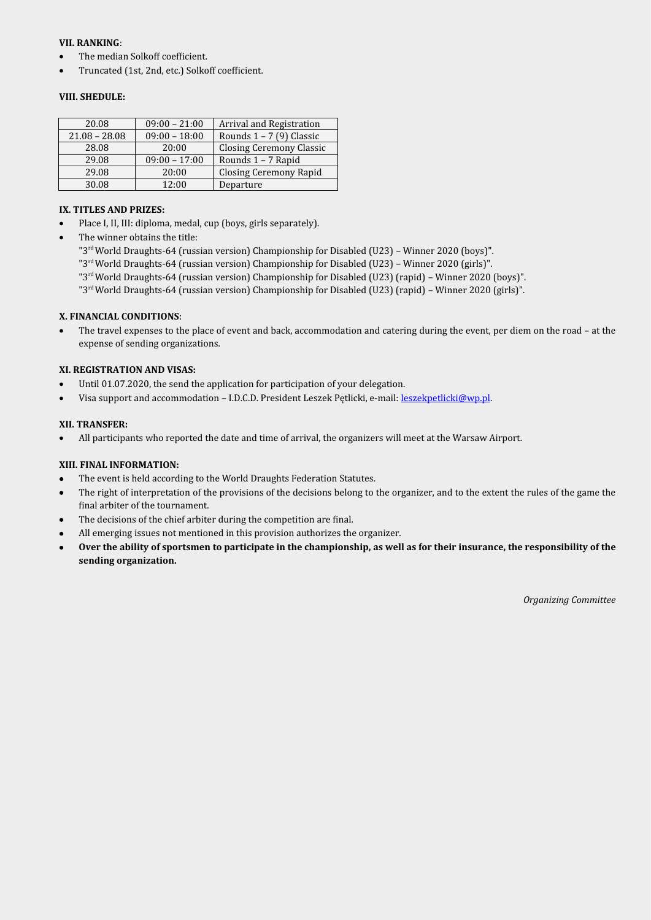#### **VII. RANKING**:

- The median Solkoff coefficient.
- Truncated (1st, 2nd, etc.) Solkoff coefficient.

#### **VIII. SHEDULE:**

| 20.08           | $09:00 - 21:00$ | Arrival and Registration        |
|-----------------|-----------------|---------------------------------|
| $21.08 - 28.08$ | $09:00 - 18:00$ | Rounds $1 - 7$ (9) Classic      |
| 28.08           | 20:00           | <b>Closing Ceremony Classic</b> |
| 29.08           | $09:00 - 17:00$ | Rounds 1 - 7 Rapid              |
| 29.08           | 20:00           | <b>Closing Ceremony Rapid</b>   |
| 30.08           | 12:00           | Departure                       |

#### **IX. TITLES AND PRIZES:**

- Place I, II, III: diploma, medal, cup (boys, girls separately).
- The winner obtains the title:

"3<sup>rd</sup> World Draughts-64 (russian version) Championship for Disabled (U23) - Winner 2020 (boys)".

- "3rd World Draughts-64 (russian version) Championship for Disabled (U23) Winner 2020 (girls)".
- "3rd World Draughts-64 (russian version) Championship for Disabled (U23) (rapid) Winner 2020 (boys)".
- "3rd World Draughts-64 (russian version) Championship for Disabled (U23) (rapid) Winner 2020 (girls)".

#### **X. FINANCIAL CONDITIONS**:

 The travel expenses to the place of event and back, accommodation and catering during the event, per diem on the road – at the expense of sending organizations.

#### **XI. REGISTRATION AND VISAS:**

- Until 01.07.2020, the send the application for participation of your delegation.
- Visa support and accommodation I.D.C.D. President Leszek Pętlicki, e-mail: [leszekpetlicki@wp.pl](mailto:leszekpetlicki@wp.pl).

#### **XII. TRANSFER:**

All participants who reported the date and time of arrival, the organizers will meet at the Warsaw Airport.

#### **XIII. FINAL INFORMATION:**

- The event is held according to the World Draughts Federation Statutes.
- The right of interpretation of the provisions of the decisions belong to the organizer, and to the extent the rules of the game the final arbiter of the tournament.
- The decisions of the chief arbiter during the competition are final.
- All emerging issues not mentioned in this provision authorizes the organizer.
- **Over the ability of sportsmen to participate in the championship, as well as for their insurance, the responsibility of the sending organization.**

*Organizing Committee*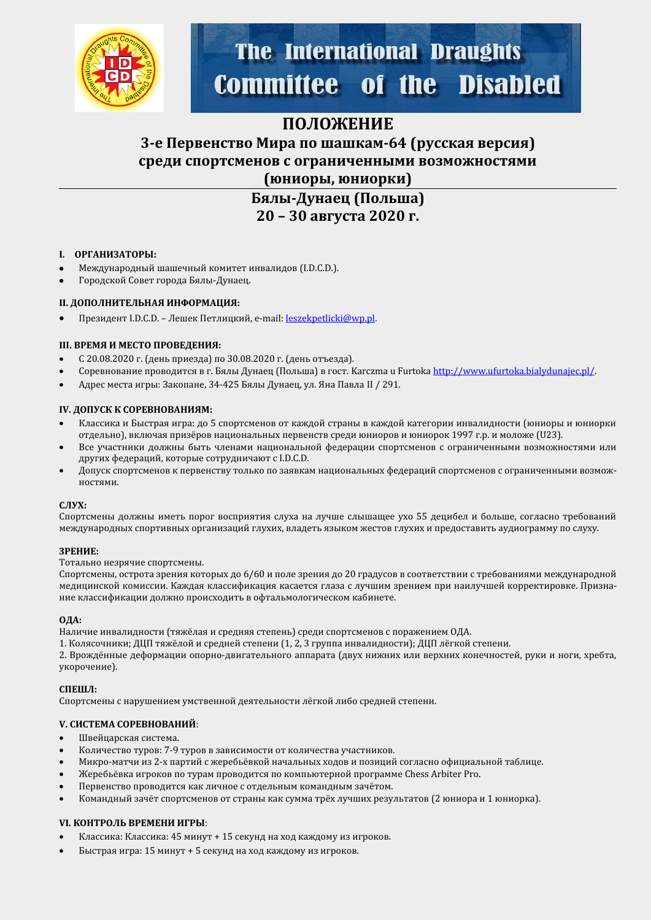

# **The International Draughts Committee of the Disabled**

### **ПОЛОЖЕНИЕ**

### **3-е Первенство Мира по шашкам-64 (русская версия) среди спортсменов с ограниченными возможностями (юниоры, юниорки)**

**Бялы-Дунаец (Польша) 20 – 30 августа 2020 г.**

#### **I. ОРГАНИЗАТОРЫ:**

- Международный шашечный комитет инвалидов (I.D.C.D.).
- Городской Совет города Бялы-Дунаец.

#### **II. ДОПОЛНИТЕЛЬНАЯ ИНФОРМАЦИЯ:**

Президент I.D.C.D. - Лешек Петлицкий, e-mail: [leszekpetlicki@wp.pl](mailto:leszekpetlicki@wp.pl).

#### **III. ВРЕМЯ И МЕСТО ПРОВЕДЕНИЯ:**

- С 20.08.2020 г. (день прйезда) по 30.08.2020 г. (день отъезда).
- Соревнование проводится в г. Бялы Дунаец (Польша) в гост. Karczma u Furtoka<http://www.ufurtoka.bialydunajec.pl/>.
- Адрес места игры: Закопане, 34-425 Бялы Дунаец, ул. Яна Павла II / 291.

#### **IV. ДОПУСК К СОРЕВНОВАНИЯМ:**

- Классика и Быстрая игра: до 5 спортсменов от каждой страны в каждой категории инвалидности (юниоры и юниорки отдельно), включая призёров национальных первенств среди юниоров и юниорок 1997 г.р. и моложе (U23).
- Все участники должны быть членами национальной федерации спортсменов с ограниченными возможностями или других федераций, которые сотрудничают с I.D.C.D.
- Допуск спортсменов к первенству только по заявкам национальных федераций спортсменов с ограниченными возможностямй.

#### **СЛУХ:**

Спортсмены должны иметь порог восприятия слуха на лучше слышащее ухо 55 децибел и больше, согласно требований международных спортивных организаций глухих, владеть языком жестов глухих и предоставить аудиограмму по слуху.

#### **ЗРЕНИЕ:**

Тотально незрячие спортсмены.

Спортсмены, острота зрения которых до 6/60 и поле зрения до 20 градусов в соответствии с требованиями международной медицинской комиссии. Каждая классификация касается глаза с лучшим зрением при наилучшей корректировке. Признание классификации должно происходить в офтальмологическом кабинете.

#### **ОДА:**

Наличие инвалидности (тяжёлая и средняя степень) среди спортсменов с поражением ОДА.

1. Колясочники; ДЦП тяжёлой и средней степени (1, 2, 3 группа инвалидности); ДЦП лёгкой степени.

2. Врождённые деформации опорно-двигательного аппарата (двух нижних или верхних конечностей, руки и ноги, хребта, укорочение).

#### **СПЕШЛ:**

Спортсмены с нарушением умственной деятельности лёгкой либо средней степени.

#### **V. СИСТЕМА СОРЕВНОВАНИЙ**:

- Швейцарская система.
- Количество туров: 7-9 туров в зависимости от количества участников.
- Микро-матчи из 2-х партий с жеребьёвкой начальных ходов и позиций согласно официальной таблице.
- Жеребьёвка игроков по турам проводится по компьютерной программе Chess Arbiter Pro.
- Первенство проводится как личное с отдельным командным зачётом.
- Командный зачёт спортсменов от страны как сумма трёх лучших результатов (2 юниора и 1 юниорка).

#### **VI. КОНТРОЛЬ ВРЕМЕНИ ИГРЫ**:

- Классика: Классика: 45 минут + 15 секунд на ход каждому из игроков.
- Быстрая игра: 15 минут + 5 секунд на ход каждому из игроков.